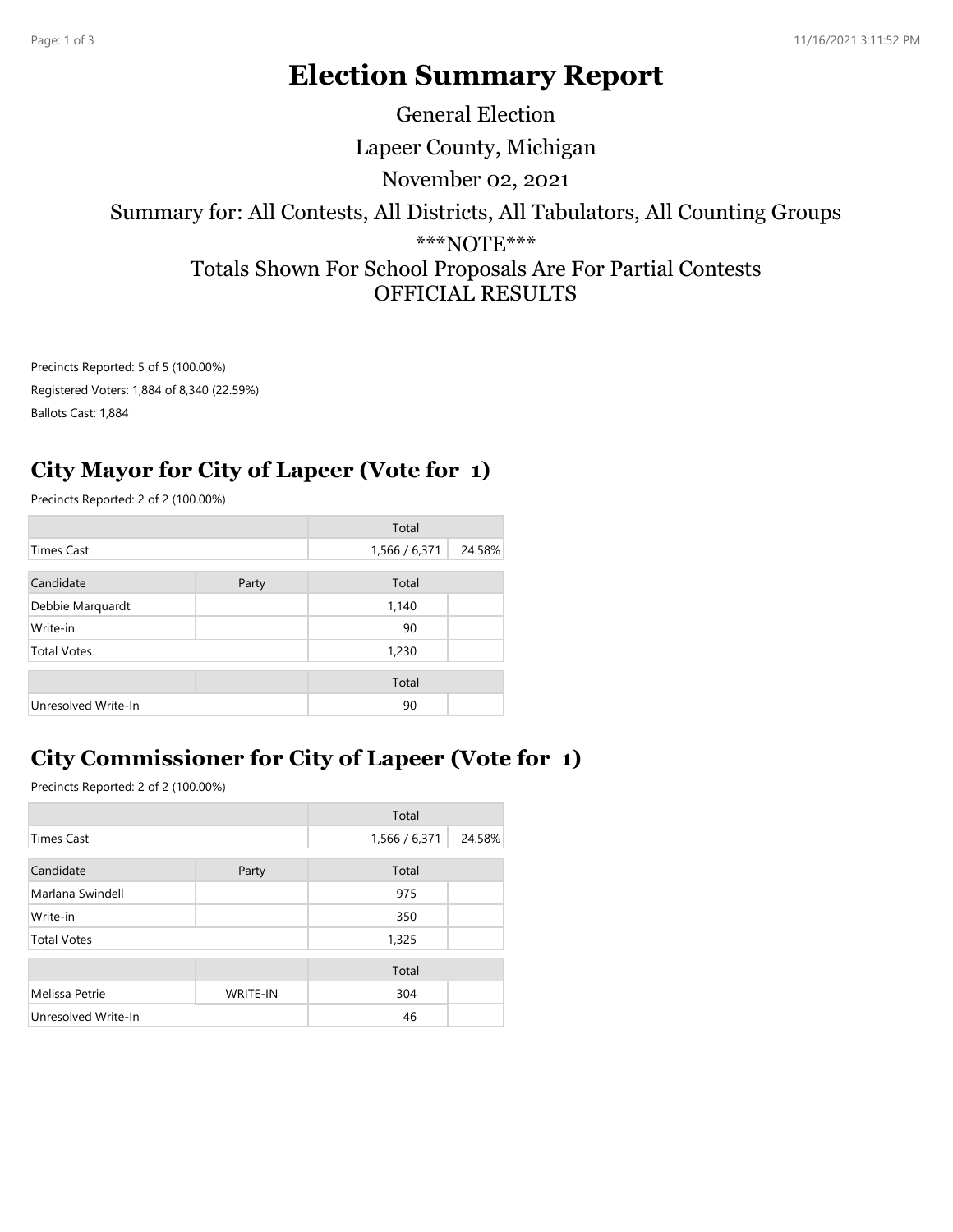# Election Summary Report

Lapeer County, Michigan Summary for: All Contests, All Districts, All Tabulators, All Counting Groups \*\*\*NOTE\*\*\* Totals Shown For School Proposals Are For Partial Contests OFFICIAL RESULTS November 02, 2021 General Election

#### City Mayor for City of Lapeer (Vote for 1)

|                                      |                                            |                        | <b>Totals Shown For School Proposals Are For Partial Contests</b><br><b>OFFICIAL RESULTS</b> |
|--------------------------------------|--------------------------------------------|------------------------|----------------------------------------------------------------------------------------------|
| Precincts Reported: 5 of 5 (100.00%) |                                            |                        |                                                                                              |
|                                      |                                            |                        |                                                                                              |
| Precincts Reported: 2 of 2 (100.00%) |                                            |                        |                                                                                              |
|                                      |                                            |                        |                                                                                              |
|                                      |                                            |                        |                                                                                              |
| Party                                | Total                                      |                        |                                                                                              |
|                                      | 1,140                                      |                        |                                                                                              |
|                                      | 90                                         |                        |                                                                                              |
|                                      | 1,230                                      |                        |                                                                                              |
|                                      | Total                                      |                        |                                                                                              |
|                                      | 90                                         |                        |                                                                                              |
|                                      | Registered Voters: 1,884 of 8,340 (22.59%) | Total<br>1,566 / 6,371 | City Mayor for City of Lapeer (Vote for 1)<br>24.58%                                         |

### City Commissioner for City of Lapeer (Vote for 1)

| <b>Times Cast</b>                     |          | 1,566 / 6,371 | 24.58% |
|---------------------------------------|----------|---------------|--------|
| Candidate                             | Party    | Total         |        |
| Debbie Marquardt                      |          | 1,140         |        |
| Write-in                              |          | 90            |        |
| <b>Total Votes</b>                    |          | 1,230         |        |
|                                       |          | Total         |        |
| Unresolved Write-In                   |          | 90            |        |
| Precincts Reported: 2 of 2 (100.00%)  |          |               |        |
|                                       |          |               |        |
|                                       |          |               |        |
|                                       |          | Total         |        |
| <b>Times Cast</b>                     |          | 1,566 / 6,371 | 24.58% |
| Candidate                             | Party    | Total         |        |
| Marlana Swindell                      |          | 975           |        |
| Write-in                              |          | 350           |        |
| <b>Total Votes</b>                    |          | 1,325         |        |
|                                       |          | Total         |        |
| Melissa Petrie<br>Unresolved Write-In | WRITE-IN | 304<br>46     |        |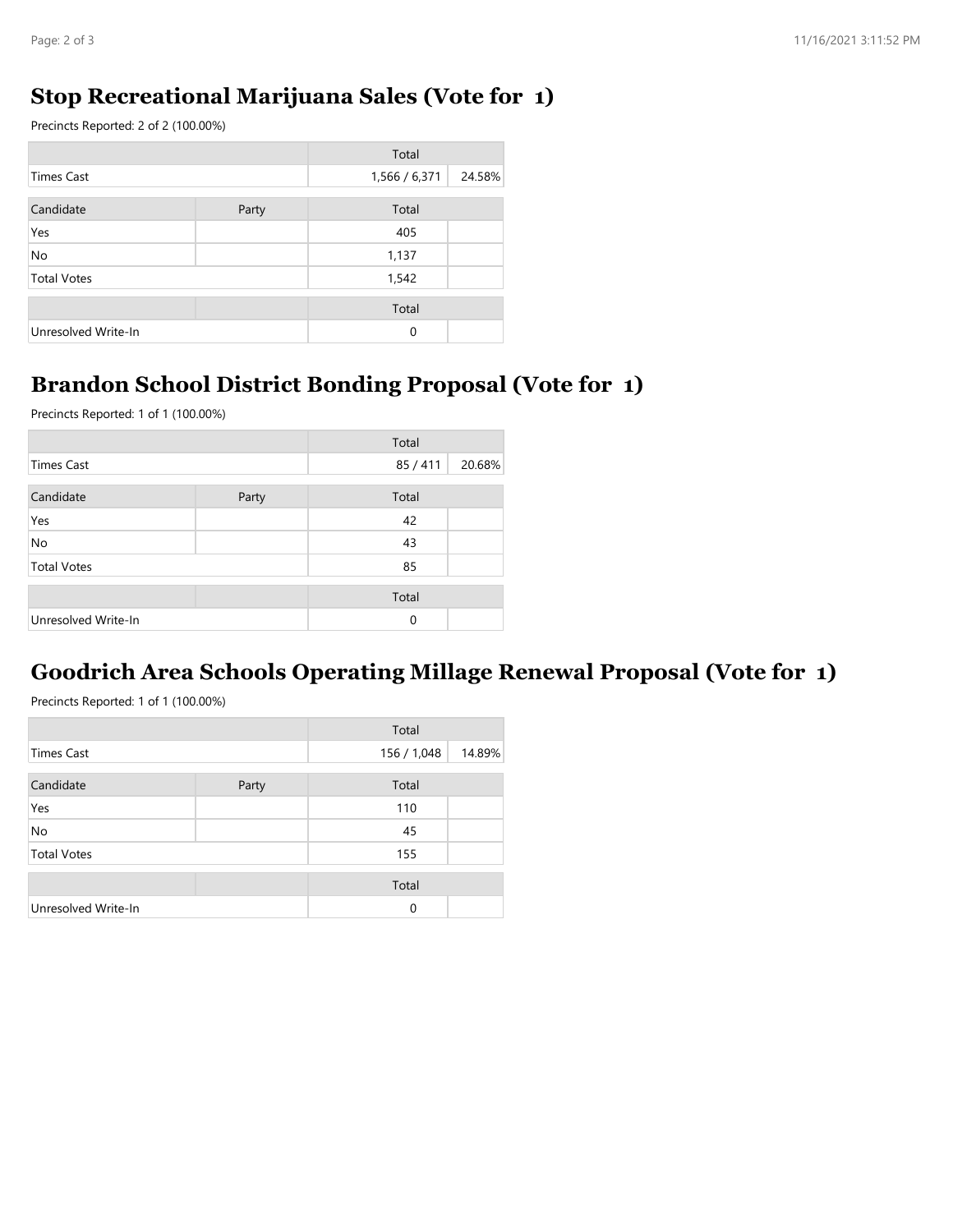#### Stop Recreational Marijuana Sales (Vote for 1)

| Page: 2 of 3                                                 |       |               |        |
|--------------------------------------------------------------|-------|---------------|--------|
|                                                              |       |               |        |
| <b>Stop Recreational Marijuana Sales (Vote for 1)</b>        |       |               |        |
| Precincts Reported: 2 of 2 (100.00%)                         |       |               |        |
| <b>Times Cast</b>                                            |       | Total         | 24.58% |
|                                                              |       | 1,566 / 6,371 |        |
| Candidate                                                    | Party | Total         |        |
| Yes<br>No                                                    |       | 405<br>1,137  |        |
| <b>Total Votes</b>                                           |       | 1,542         |        |
|                                                              |       | Total         |        |
|                                                              |       | 0             |        |
| Unresolved Write-In                                          |       |               |        |
|                                                              |       |               |        |
| <b>Brandon School District Bonding Proposal (Vote for 1)</b> |       |               |        |

#### Brandon School District Bonding Proposal (Vote for 1)

| <b>Times Cast</b>                                                                                    |       |               |        |
|------------------------------------------------------------------------------------------------------|-------|---------------|--------|
|                                                                                                      |       | 1,566 / 6,371 | 24.58% |
| Candidate                                                                                            | Party | Total         |        |
| Yes                                                                                                  |       | 405           |        |
| No                                                                                                   |       | 1,137         |        |
| <b>Total Votes</b>                                                                                   |       | 1,542         |        |
|                                                                                                      |       | Total         |        |
| Unresolved Write-In                                                                                  |       | 0             |        |
| <b>Brandon School District Bonding Proposal (Vote for 1)</b><br>Precincts Reported: 1 of 1 (100.00%) |       | Total         |        |
|                                                                                                      |       |               |        |
| <b>Times Cast</b>                                                                                    |       | 85/411        | 20.68% |
|                                                                                                      | Party | Total         |        |
| Candidate                                                                                            |       |               |        |
| Yes                                                                                                  |       | 42            |        |
| No                                                                                                   |       | 43            |        |
| <b>Total Votes</b>                                                                                   |       | 85            |        |
|                                                                                                      |       | Total         |        |

#### Goodrich Area Schools Operating Millage Renewal Proposal (Vote for 1)

|                                                                              |       | $\sim$               |        |
|------------------------------------------------------------------------------|-------|----------------------|--------|
| <b>Times Cast</b>                                                            |       | 85 / 411             | 20.68% |
| Candidate                                                                    | Party | Total                |        |
| Yes                                                                          |       | 42                   |        |
| No                                                                           |       | 43                   |        |
| <b>Total Votes</b>                                                           |       | 85                   |        |
|                                                                              |       | Total                |        |
| Unresolved Write-In                                                          |       | $\pmb{0}$            |        |
| <b>Goodrich Area Schools Operating Millage Renewal Proposal (Vote for 1)</b> |       |                      |        |
|                                                                              |       |                      |        |
| Precincts Reported: 1 of 1 (100.00%)                                         |       |                      |        |
| <b>Times Cast</b>                                                            |       | Total<br>156 / 1,048 | 14.89% |
| Candidate                                                                    | Party | Total                |        |
| Yes                                                                          |       | 110                  |        |
| No                                                                           |       | 45                   |        |
| <b>Total Votes</b>                                                           |       | 155                  |        |
|                                                                              |       | Total                |        |